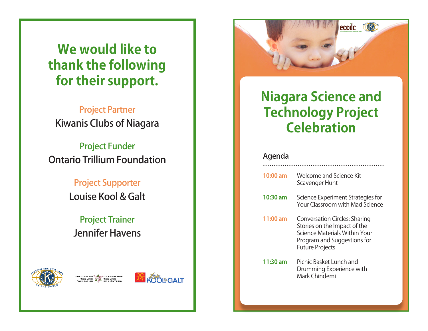# **We would like to thank the following for their support.**

#### Project Partner Kiwanis Clubs of Niagara

Project Funder Ontario Trillium Foundation

> Project Supporter Louise Kool & Galt

## Project Trainer Jennifer Havens









# **Niagara Science and Technology Project Celebration**

#### Agenda

| 10:00 am | Welcome and Science Kit<br>Scavenger Hunt                                                                                                                      |
|----------|----------------------------------------------------------------------------------------------------------------------------------------------------------------|
| 10:30 am | Science Experiment Strategies for<br>Your Classroom with Mad Science                                                                                           |
| 11:00 am | <b>Conversation Circles: Sharing</b><br>Stories on the Impact of the<br>Science Materials Within Your<br>Program and Suggestions for<br><b>Future Projects</b> |
| 11:30 am | Picnic Basket Lunch and<br>Drumming Experience with<br>Mark Chindemi                                                                                           |